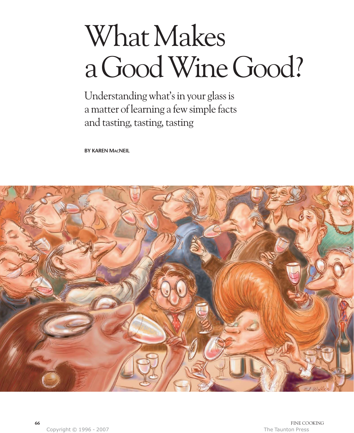# What Makes a Good Wine Good?

Understanding what's in your glass is a matter of learning a few simple facts and tasting, tasting, tasting

**BY KAREN MACNEIL**

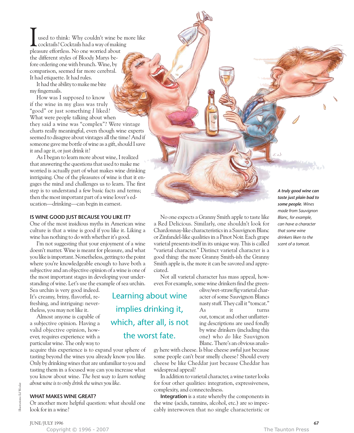used to think: Why couldn't wine be more like cocktails? Cocktails had a way of making **J** used to think: Why couldn't wine be cocktails? Cocktails had a way of maki pleasure effortless. No one worried about the different styles of Bloody Marys before ordering one with brunch. Wine, by comparison, seemed far more cerebral. It had etiquette. It had rules.

It had the ability to make me bite my fingernails.

How was I supposed to know if the wine in my glass was truly "good" or just something *I* liked? What were people talking about when they said a wine was "complex"? Were vintage charts really meaningful, even though wine experts seemed to disagree about vintages all the time? And if someone gave me bottle of wine as a gift, should I save it and age it, or just drink it?

As I began to learn more about wine, I realized that answering the questions that used to make me worried is actually part of what makes wine drinking intriguing. One of the pleasures of wine is that it engages the mind and challenges us to learn. The first step is to understand a few basic facts and terms; then the most important part of a wine lover's education—drinking—can begin in earnest.

### **IS WINE GOOD JUST BECAUSE YOU LIKE IT?**

One of the most insidious myths in American wine culture is that a wine is good if you like it. Liking a wine has nothing to do with whether it's good.

I'm not suggesting that your enjoyment of a wine doesn't matter. Wine is meant for pleasure, and what you like is important. Nonetheless, getting to the point where you're knowledgeable enough to have both a subjective and an objective opinion of a wine is one of the most important stages in developing your understanding of wine. Let's use the example of sea urchin.

Sea urchin is very good indeed. It's creamy, briny, flavorful, refreshing, and intriguing: nevertheless, you may not like it.

Almost anyone is capable of a subjective opinion. Having a valid objective opinion, however, requires experience with a particular wine. The only way to

acquire this experience is to expand your sphere of tasting beyond the wines you already know you like. Only by drinking wines that are unfamiliar to you and tasting them in a focused way can you increase what you know about wine. *The best way to learn nothing about wine is to only drink the wines you like*.

#### **WHAT MAKES WINE GREAT?**

Or another more helpful question: what should one look for in a wine?

"varietal character." Distinct varietal character is a good thing: the more Granny Smith-ish the Granny Smith apple is, the more it can be savored and appreciated. Not all varietal character has mass appeal, however. For example, some wine drinkers find the greenolive/wet-straw/fig varietal char-Learning about wine

implies drinking it,

which, after all, is not

the worst fate.

acter of some Sauvignon Blancs nasty stuff. They call it "tomcat." As it turns out, tomcat and other unflattering descriptions are used fondly by wine drinkers (including this one) who *do* like Sauvignon Blanc. There's an obvious analo-

gy here with cheese. Is blue cheese awful just because some people can't bear smelly cheese? Should every cheese be like Cheddar just because Cheddar has widespread appeal?

No one expects a Granny Smith apple to taste like a Red Delicious. Similarly, one shouldn't look for Chardonnay-like characteristics in a Sauvignon Blanc or Zinfandel-like qualities in a Pinot Noir. Each grape varietal presents itself in its unique way. This is called

In addition to varietal character, a wine taster looks for four other qualities: integration, expressiveness, complexity, and connectedness.

**Integration** is a state whereby the components in the wine (acids, tannins, alcohol, etc.) are so impeccably interwoven that no single characteristic or

*A truly good wine can taste just plain bad to some people. Wines made from Sauvignon Blanc, for example, can have a character that some wine drinkers liken to the scent of a tomcat.*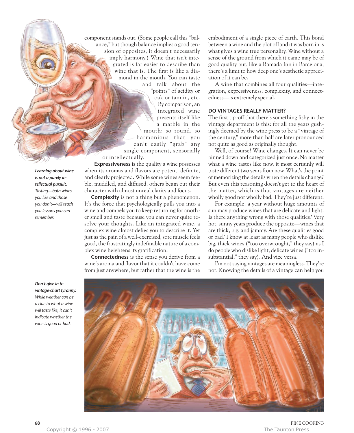component stands out. (Some people call this "balance," but though balance implies a good tension of opposites, it doesn't necessarily imply harmony.) Wine that isn't integrated is far easier to describe than wine that is. The first is like a diamond in the mouth. You can taste and talk about the "points" of acidity or oak or tannin, etc. By comparison, an integrated wine presents itself like a marble in the mouth: so round, so harmonious that you can't easily "grab" any single component, sensorially or intellectually.

**Expressiveness** is the quality a wine possesses when its aromas and flavors are potent, definite, and clearly projected. While some wines seem feeble, muddled, and diffused, others beam out their character with almost unreal clarity and focus.

**Complexity** is not a thing but a phenomenon. It's the force that psychologically pulls you into a wine and compels you to keep returning for another smell and taste because you can never quite resolve your thoughts. Like an integrated wine, a complex wine almost defies you to describe it. Yet just as the pain of a well-exercised, sore muscle feels good, the frustratingly indefinable nature of a complex wine heightens its gratification.

**Connectedness** is the sense you derive from a wine's aroma and flavor that it couldn't have come from just anywhere, but rather that the wine is the embodiment of a single piece of earth. This bond between a wine and the plot of land it was born in is what gives a wine true personality. Wine without a sense of the ground from which it came may be of good quality but, like a Ramada Inn in Barcelona, there's a limit to how deep one's aesthetic appreciation of it can be.

A wine that combines all four qualities—integration, expressiveness, complexity, and connectedness—is extremely special.

#### **DO VINTAGES REALLY MATTER?**

The first tip-off that there's something fishy in the vintage department is this: for all the years gushingly deemed by the wine press to be a "vintage of the century," more than half are later pronounced not quite as good as originally thought.

Well, of course! Wine changes. It can never be pinned down and categorized just once. No matter what a wine tastes like now, it most certainly will taste different two years from now. What's the point of memorizing the details when the details change? But even this reasoning doesn't get to the heart of the matter, which is that vintages are neither wholly good nor wholly bad. They're just different.

For example, a year without huge amounts of sun may produce wines that are delicate and light. Is there anything wrong with those qualities? Very hot, sunny years produce the opposite—wines that are thick, big, and jammy. Are these qualities good or bad? I know at least as many people who dislike big, thick wines ("too overwrought," they say) as I do people who dislike light, delicate wines ("too insubstantial," they say). And vice versa.

I'm not saying vintages are meaningless. They're not. Knowing the details of a vintage can help you



*Learning about wine is not a purely in-*

*Don't give in to vintage-chart tyranny. While weather can be a clue to what a wine will taste like, it can't indicate whether the wine is good or bad.*